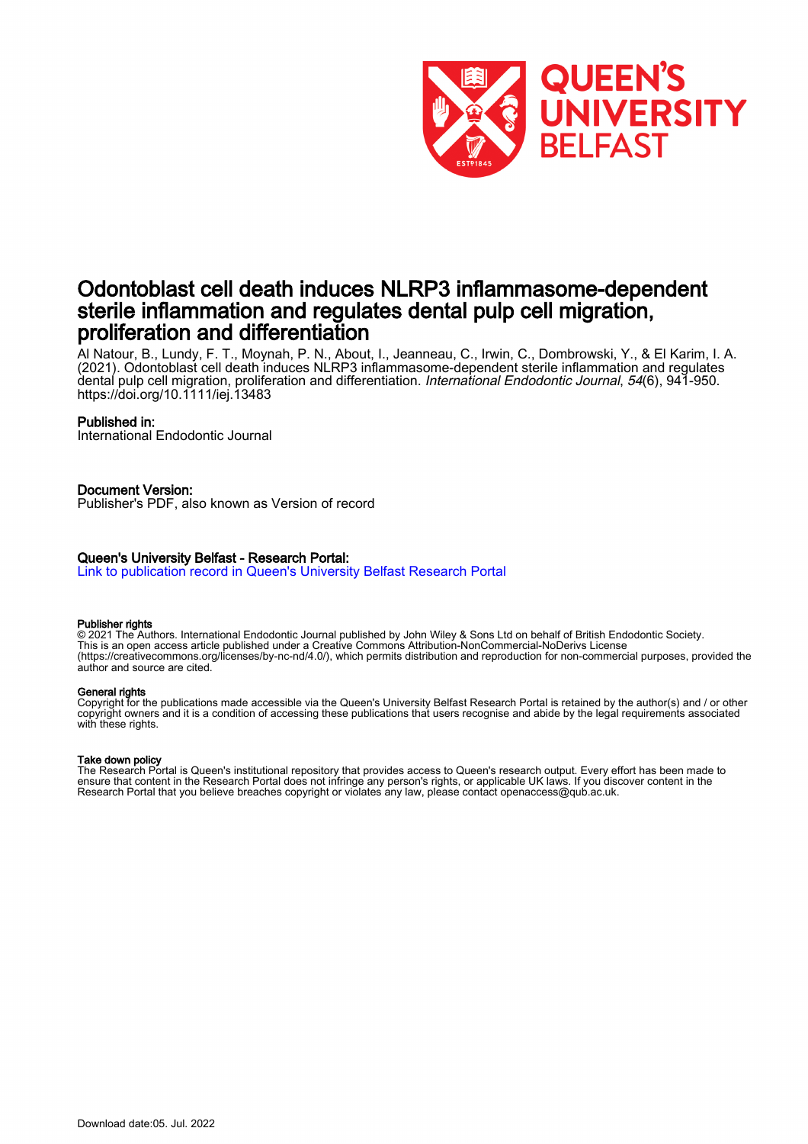

## Odontoblast cell death induces NLRP3 inflammasome-dependent sterile inflammation and regulates dental pulp cell migration, proliferation and differentiation

Al Natour, B., Lundy, F. T., Moynah, P. N., About, I., Jeanneau, C., Irwin, C., Dombrowski, Y., & El Karim, I. A. (2021). Odontoblast cell death induces NLRP3 inflammasome-dependent sterile inflammation and regulates dental pulp cell migration, proliferation and differentiation. International Endodontic Journal, 54(6), 941-950. <https://doi.org/10.1111/iej.13483>

## Published in:

International Endodontic Journal

## Document Version:

Publisher's PDF, also known as Version of record

## Queen's University Belfast - Research Portal:

[Link to publication record in Queen's University Belfast Research Portal](https://pure.qub.ac.uk/en/publications/05ab992a-50c5-4c3b-b7c5-dc365ae94194)

## Publisher rights

© 2021 The Authors. International Endodontic Journal published by John Wiley & Sons Ltd on behalf of British Endodontic Society. This is an open access article published under a Creative Commons Attribution-NonCommercial-NoDerivs License (https://creativecommons.org/licenses/by-nc-nd/4.0/), which permits distribution and reproduction for non-commercial purposes, provided the author and source are cited.

## General rights

Copyright for the publications made accessible via the Queen's University Belfast Research Portal is retained by the author(s) and / or other copyright owners and it is a condition of accessing these publications that users recognise and abide by the legal requirements associated with these rights.

#### Take down policy

The Research Portal is Queen's institutional repository that provides access to Queen's research output. Every effort has been made to ensure that content in the Research Portal does not infringe any person's rights, or applicable UK laws. If you discover content in the Research Portal that you believe breaches copyright or violates any law, please contact openaccess@qub.ac.uk.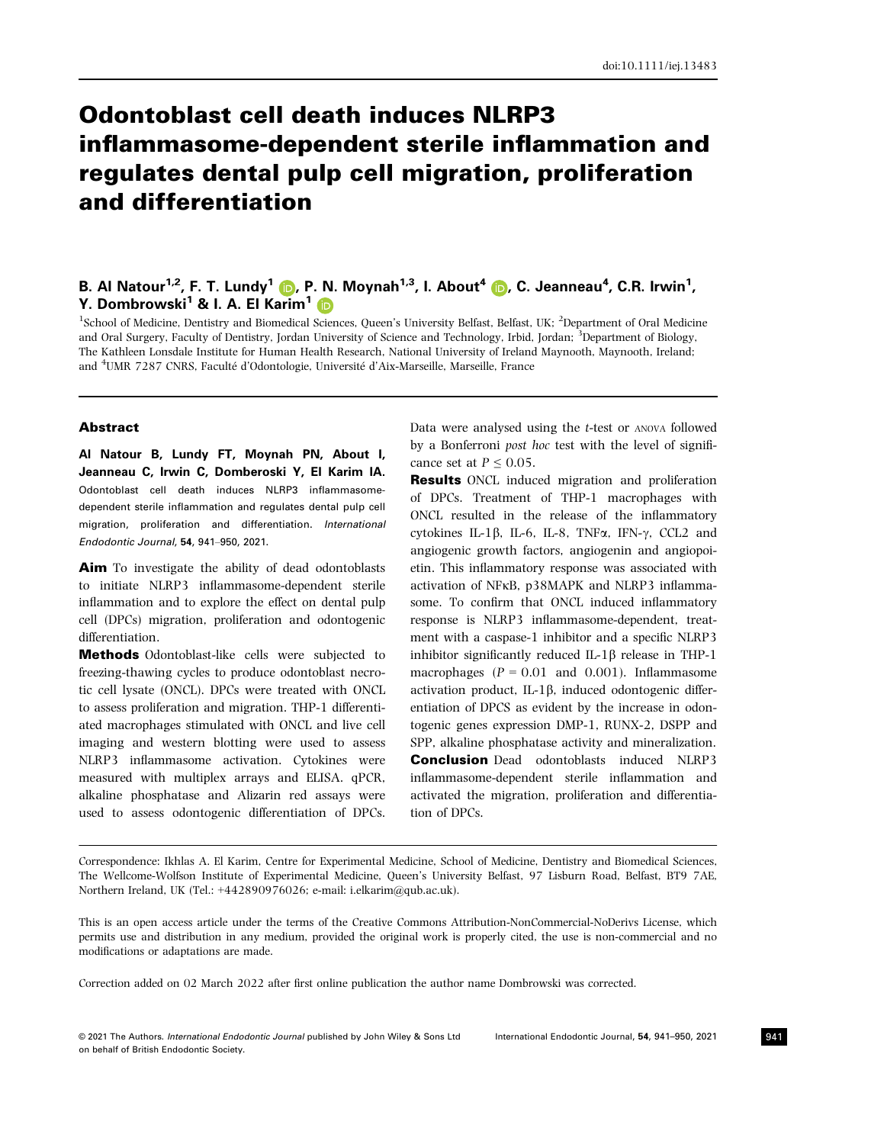# Odontoblast cell death induces NLRP3 inflammasome-dependent sterile inflammation and regulates dental pulp cell migration, proliferation and differentiation

## B. Al Natour<sup>[1](https://orcid.org/0000-0003-3150-1150),2</sup>, F. T. Lundy<sup>1</sup> (D, P. N. Moynah<sup>1,3</sup>, I. About<sup>[4](https://orcid.org/0000-0002-7453-3921)</sup> (D, C. Jeanneau<sup>4</sup>, C.R. Irwin<sup>1</sup>, Y. Dombrowski<sup>[1](https://orcid.org/0000-0002-5314-7378)</sup> & I. A. El Karim<sup>1</sup> D

<sup>1</sup>School of Medicine, Dentistry and Biomedical Sciences, Queen's University Belfast, Belfast, UK; <sup>2</sup>Department of Oral Medicine and Oral Surgery, Faculty of Dentistry, Jordan University of Science and Technology, Irbid, Jordan; <sup>3</sup>Department of Biology, The Kathleen Lonsdale Institute for Human Health Research, National University of Ireland Maynooth, Maynooth, Ireland; and <sup>4</sup>UMR 7287 CNRS, Faculté d'Odontologie, Université d'Aix-Marseille, Marseille, France

#### Abstract

Al Natour B, Lundy FT, Moynah PN, About I, Jeanneau C, Irwin C, Domberoski Y, El Karim IA. Odontoblast cell death induces NLRP3 inflammasomedependent sterile inflammation and regulates dental pulp cell migration, proliferation and differentiation. International Endodontic Journal, 54, 941–950, 2021.

Aim To investigate the ability of dead odontoblasts to initiate NLRP3 inflammasome-dependent sterile inflammation and to explore the effect on dental pulp cell (DPCs) migration, proliferation and odontogenic differentiation.

Methods Odontoblast-like cells were subjected to freezing-thawing cycles to produce odontoblast necrotic cell lysate (ONCL). DPCs were treated with ONCL to assess proliferation and migration. THP-1 differentiated macrophages stimulated with ONCL and live cell imaging and western blotting were used to assess NLRP3 inflammasome activation. Cytokines were measured with multiplex arrays and ELISA. qPCR, alkaline phosphatase and Alizarin red assays were used to assess odontogenic differentiation of DPCs. Data were analysed using the t-test or ANOVA followed by a Bonferroni post hoc test with the level of significance set at  $P \leq 0.05$ .

Results ONCL induced migration and proliferation of DPCs. Treatment of THP-1 macrophages with ONCL resulted in the release of the inflammatory cytokines IL-1 $\beta$ , IL-6, IL-8, TNF $\alpha$ , IFN- $\gamma$ , CCL2 and angiogenic growth factors, angiogenin and angiopoietin. This inflammatory response was associated with activation of NFKB, p38MAPK and NLRP3 inflammasome. To confirm that ONCL induced inflammatory response is NLRP3 inflammasome-dependent, treatment with a caspase-1 inhibitor and a specific NLRP3 inhibitor significantly reduced  $IL-1\beta$  release in THP-1 macrophages ( $P = 0.01$  and 0.001). Inflammasome activation product,  $IL-1\beta$ , induced odontogenic differentiation of DPCS as evident by the increase in odontogenic genes expression DMP-1, RUNX-2, DSPP and SPP, alkaline phosphatase activity and mineralization. Conclusion Dead odontoblasts induced NLRP3 inflammasome-dependent sterile inflammation and activated the migration, proliferation and differentiation of DPCs.

Correspondence: Ikhlas A. El Karim, Centre for Experimental Medicine, School of Medicine, Dentistry and Biomedical Sciences, The Wellcome-Wolfson Institute of Experimental Medicine, Queen's University Belfast, 97 Lisburn Road, Belfast, BT9 7AE, Northern Ireland, UK (Tel.: +442890976026; e-mail: [i.elkarim@qub.ac.uk\)](mailto:).

This is an open access article under the terms of the [Creative Commons Attribution-NonCommercial-NoDerivs](http://creativecommons.org/licenses/by-nc-nd/4.0/) License, which permits use and distribution in any medium, provided the original work is properly cited, the use is non-commercial and no modifications or adaptations are made.

Correction added on 02 March 2022 after first online publication the author name Dombrowski was corrected.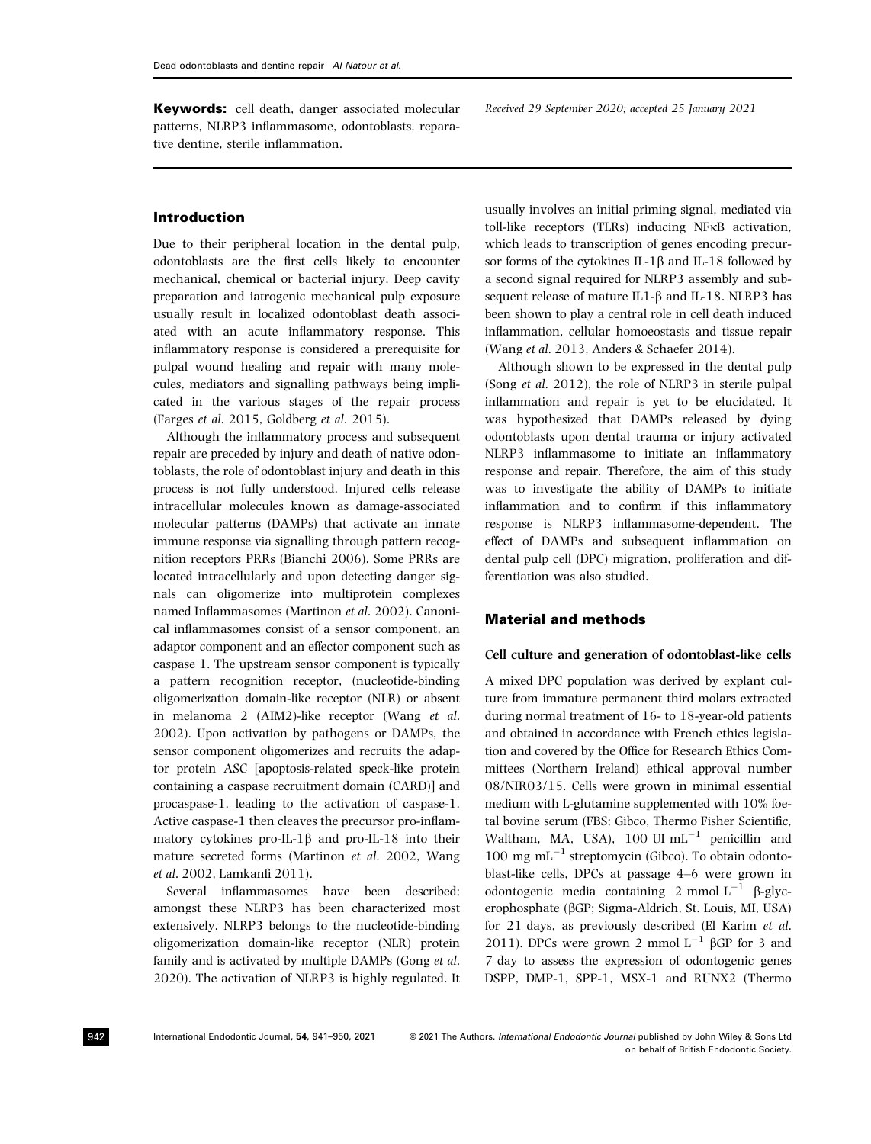Keywords: cell death, danger associated molecular patterns, NLRP3 inflammasome, odontoblasts, reparative dentine, sterile inflammation.

#### Introduction

Due to their peripheral location in the dental pulp, odontoblasts are the first cells likely to encounter mechanical, chemical or bacterial injury. Deep cavity preparation and iatrogenic mechanical pulp exposure usually result in localized odontoblast death associated with an acute inflammatory response. This inflammatory response is considered a prerequisite for pulpal wound healing and repair with many molecules, mediators and signalling pathways being implicated in the various stages of the repair process (Farges et al. 2015, Goldberg et al. 2015).

Although the inflammatory process and subsequent repair are preceded by injury and death of native odontoblasts, the role of odontoblast injury and death in this process is not fully understood. Injured cells release intracellular molecules known as damage-associated molecular patterns (DAMPs) that activate an innate immune response via signalling through pattern recognition receptors PRRs (Bianchi 2006). Some PRRs are located intracellularly and upon detecting danger signals can oligomerize into multiprotein complexes named Inflammasomes (Martinon et al. 2002). Canonical inflammasomes consist of a sensor component, an adaptor component and an effector component such as caspase 1. The upstream sensor component is typically a pattern recognition receptor, (nucleotide-binding oligomerization domain-like receptor (NLR) or absent in melanoma 2 (AIM2)-like receptor (Wang et al. 2002). Upon activation by pathogens or DAMPs, the sensor component oligomerizes and recruits the adaptor protein ASC [apoptosis-related speck-like protein containing a caspase recruitment domain (CARD)] and procaspase-1, leading to the activation of caspase-1. Active caspase-1 then cleaves the precursor pro-inflammatory cytokines pro-IL-1 $\beta$  and pro-IL-18 into their mature secreted forms (Martinon et al. 2002, Wang et al. 2002, Lamkanfi 2011).

Several inflammasomes have been described; amongst these NLRP3 has been characterized most extensively. NLRP3 belongs to the nucleotide-binding oligomerization domain-like receptor (NLR) protein family and is activated by multiple DAMPs (Gong et al. 2020). The activation of NLRP3 is highly regulated. It

Received 29 September 2020; accepted 25 January 2021

usually involves an initial priming signal, mediated via toll-like receptors (TLRs) inducing NFKB activation, which leads to transcription of genes encoding precursor forms of the cytokines IL-1 $\beta$  and IL-18 followed by a second signal required for NLRP3 assembly and subsequent release of mature IL1- $\beta$  and IL-18. NLRP3 has been shown to play a central role in cell death induced inflammation, cellular homoeostasis and tissue repair (Wang et al. 2013, Anders & Schaefer 2014).

Although shown to be expressed in the dental pulp (Song et al. 2012), the role of NLRP3 in sterile pulpal inflammation and repair is yet to be elucidated. It was hypothesized that DAMPs released by dying odontoblasts upon dental trauma or injury activated NLRP3 inflammasome to initiate an inflammatory response and repair. Therefore, the aim of this study was to investigate the ability of DAMPs to initiate inflammation and to confirm if this inflammatory response is NLRP3 inflammasome-dependent. The effect of DAMPs and subsequent inflammation on dental pulp cell (DPC) migration, proliferation and differentiation was also studied.

#### Material and methods

#### Cell culture and generation of odontoblast-like cells

A mixed DPC population was derived by explant culture from immature permanent third molars extracted during normal treatment of 16- to 18-year-old patients and obtained in accordance with French ethics legislation and covered by the Office for Research Ethics Committees (Northern Ireland) ethical approval number 08/NIR03/15. Cells were grown in minimal essential medium with L-glutamine supplemented with 10% foetal bovine serum (FBS; Gibco, Thermo Fisher Scientific, Waltham, MA, USA),  $100 \text{ UI} \text{ mL}^{-1}$  penicillin and  $100 \text{ mg } \text{mL}^{-1}$  streptomycin (Gibco). To obtain odontoblast-like cells, DPCs at passage 4–6 were grown in odontogenic media containing 2 mmol  $L^{-1}$   $\beta$ -glycerophosphate (bGP; Sigma-Aldrich, St. Louis, MI, USA) for 21 days, as previously described (El Karim et al. 2011). DPCs were grown 2 mmol  $L^{-1}$   $\beta$ GP for 3 and 7 day to assess the expression of odontogenic genes DSPP, DMP-1, SPP-1, MSX-1 and RUNX2 (Thermo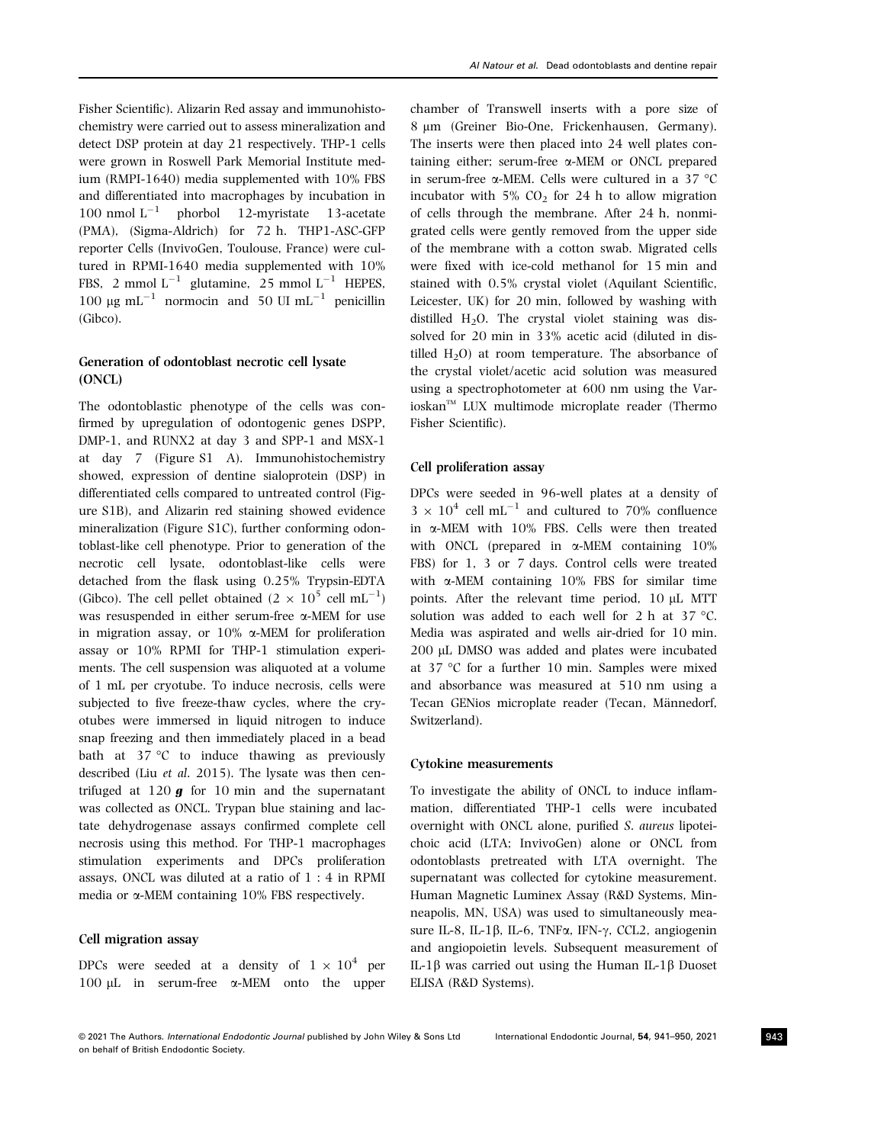Fisher Scientific). Alizarin Red assay and immunohistochemistry were carried out to assess mineralization and detect DSP protein at day 21 respectively. THP-1 cells were grown in Roswell Park Memorial Institute medium (RMPI-1640) media supplemented with 10% FBS and differentiated into macrophages by incubation in 100 nmol  $L^{-1}$  phorbol 12-myristate 13-acetate (PMA), (Sigma-Aldrich) for 72 h. THP1-ASC-GFP reporter Cells (InvivoGen, Toulouse, France) were cultured in RPMI-1640 media supplemented with 10% FBS, 2 mmol  $L^{-1}$  glutamine, 25 mmol  $L^{-1}$  HEPES, 100  $\mu$ g mL<sup>-1</sup> normocin and 50 UI mL<sup>-1</sup> penicillin (Gibco).

## Generation of odontoblast necrotic cell lysate (ONCL)

The odontoblastic phenotype of the cells was confirmed by upregulation of odontogenic genes DSPP, DMP-1, and RUNX2 at day 3 and SPP-1 and MSX-1 at day 7 (Figure S1 A). Immunohistochemistry showed, expression of dentine sialoprotein (DSP) in differentiated cells compared to untreated control (Figure S1B), and Alizarin red staining showed evidence mineralization (Figure S1C), further conforming odontoblast-like cell phenotype. Prior to generation of the necrotic cell lysate, odontoblast-like cells were detached from the flask using 0.25% Trypsin-EDTA (Gibco). The cell pellet obtained  $(2 \times 10^5 \text{ cell } \text{mL}^{-1})$ was resuspended in either serum-free a-MEM for use in migration assay, or  $10\%$   $\alpha$ -MEM for proliferation assay or 10% RPMI for THP-1 stimulation experiments. The cell suspension was aliquoted at a volume of 1 mL per cryotube. To induce necrosis, cells were subjected to five freeze-thaw cycles, where the cryotubes were immersed in liquid nitrogen to induce snap freezing and then immediately placed in a bead bath at 37 °C to induce thawing as previously described (Liu et al. 2015). The lysate was then centrifuged at  $120 g$  for 10 min and the supernatant was collected as ONCL. Trypan blue staining and lactate dehydrogenase assays confirmed complete cell necrosis using this method. For THP-1 macrophages stimulation experiments and DPCs proliferation assays, ONCL was diluted at a ratio of 1 : 4 in RPMI media or  $\alpha$ -MEM containing 10% FBS respectively.

## Cell migration assay

DPCs were seeded at a density of  $1 \times 10^4$  per <sup>100</sup> lL in serum-free a-MEM onto the upper chamber of Transwell inserts with a pore size of 8 µm (Greiner Bio-One, Frickenhausen, Germany). The inserts were then placed into 24 well plates containing either; serum-free a-MEM or ONCL prepared in serum-free a-MEM. Cells were cultured in a 37 °<sup>C</sup> incubator with  $5\%$  CO<sub>2</sub> for 24 h to allow migration of cells through the membrane. After 24 h, nonmigrated cells were gently removed from the upper side of the membrane with a cotton swab. Migrated cells were fixed with ice-cold methanol for 15 min and stained with 0.5% crystal violet (Aquilant Scientific, Leicester, UK) for 20 min, followed by washing with distilled  $H<sub>2</sub>O$ . The crystal violet staining was dissolved for 20 min in 33% acetic acid (diluted in distilled  $H_2O$ ) at room temperature. The absorbance of the crystal violet/acetic acid solution was measured using a spectrophotometer at 600 nm using the Var $i$ oskan<sup>™</sup> LUX multimode microplate reader (Thermo Fisher Scientific).

#### Cell proliferation assay

DPCs were seeded in 96-well plates at a density of  $3 \times 10^4$  cell mL<sup>-1</sup> and cultured to 70% confluence in a-MEM with 10% FBS. Cells were then treated with ONCL (prepared in  $\alpha$ -MEM containing  $10\%$ FBS) for 1, 3 or 7 days. Control cells were treated with  $\alpha$ -MEM containing 10% FBS for similar time points. After the relevant time period,  $10 \mu L$  MTT solution was added to each well for 2 h at 37 °C. Media was aspirated and wells air-dried for 10 min. 200 µL DMSO was added and plates were incubated at 37 °C for a further 10 min. Samples were mixed and absorbance was measured at 510 nm using a Tecan GENios microplate reader (Tecan, Männedorf, Switzerland).

#### Cytokine measurements

To investigate the ability of ONCL to induce inflammation, differentiated THP-1 cells were incubated overnight with ONCL alone, purified S. aureus lipoteichoic acid (LTA; InvivoGen) alone or ONCL from odontoblasts pretreated with LTA overnight. The supernatant was collected for cytokine measurement. Human Magnetic Luminex Assay (R&D Systems, Minneapolis, MN, USA) was used to simultaneously measure IL-8, IL-1 $\beta$ , IL-6, TNF $\alpha$ , IFN- $\gamma$ , CCL2, angiogenin and angiopoietin levels. Subsequent measurement of IL-1 $\beta$  was carried out using the Human IL-1 $\beta$  Duoset ELISA (R&D Systems).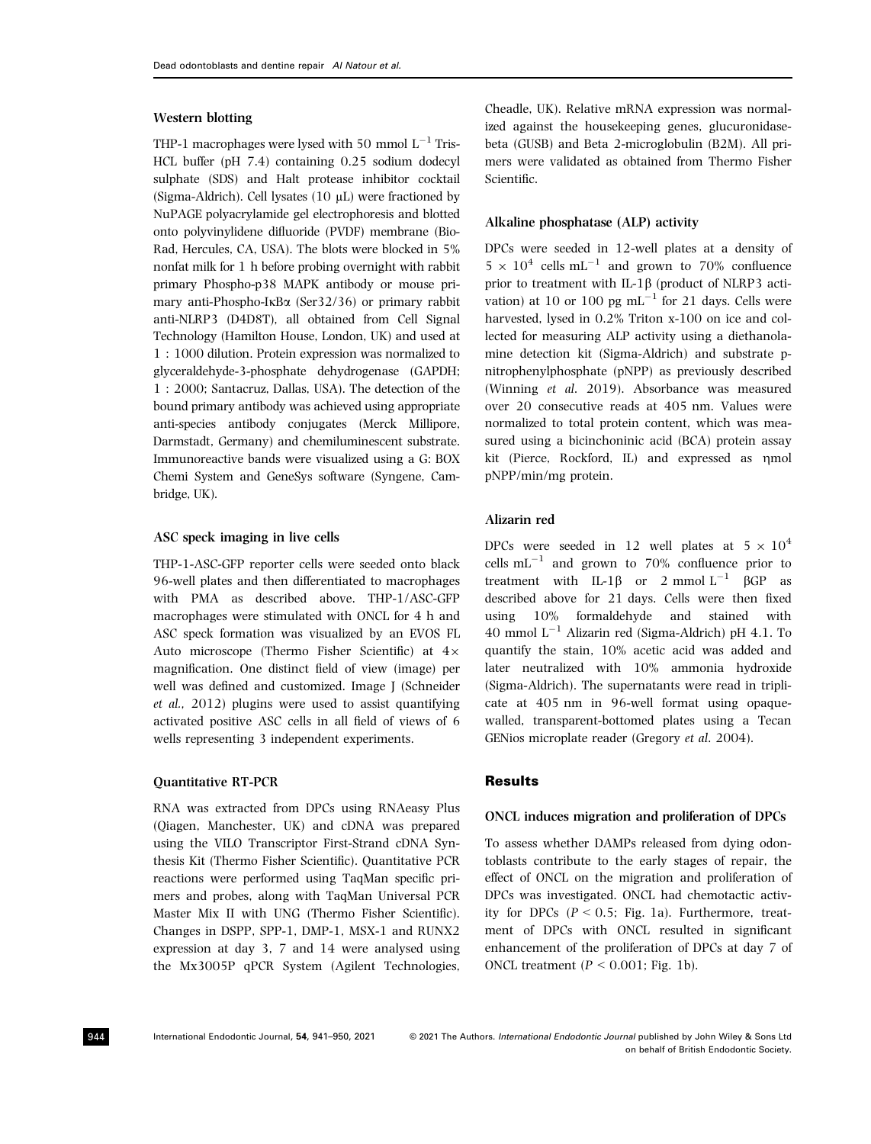## Western blotting

THP-1 macrophages were lysed with 50 mmol  $L^{-1}$  Tris-HCL buffer (pH 7.4) containing 0.25 sodium dodecyl sulphate (SDS) and Halt protease inhibitor cocktail (Sigma-Aldrich). Cell lysates (10 µL) were fractioned by NuPAGE polyacrylamide gel electrophoresis and blotted onto polyvinylidene difluoride (PVDF) membrane (Bio-Rad, Hercules, CA, USA). The blots were blocked in 5% nonfat milk for 1 h before probing overnight with rabbit primary Phospho-p38 MAPK antibody or mouse primary anti-Phospho-I $\kappa$ B $\alpha$  (Ser32/36) or primary rabbit anti-NLRP3 (D4D8T), all obtained from Cell Signal Technology (Hamilton House, London, UK) and used at 1 : 1000 dilution. Protein expression was normalized to glyceraldehyde-3-phosphate dehydrogenase (GAPDH; 1 : 2000; Santacruz, Dallas, USA). The detection of the bound primary antibody was achieved using appropriate anti-species antibody conjugates (Merck Millipore, Darmstadt, Germany) and chemiluminescent substrate. Immunoreactive bands were visualized using a G: BOX Chemi System and GeneSys software (Syngene, Cambridge, UK).

#### ASC speck imaging in live cells

THP-1-ASC-GFP reporter cells were seeded onto black 96-well plates and then differentiated to macrophages with PMA as described above. THP-1/ASC-GFP macrophages were stimulated with ONCL for 4 h and ASC speck formation was visualized by an EVOS FL Auto microscope (Thermo Fisher Scientific) at  $4 \times$ magnification. One distinct field of view (image) per well was defined and customized. Image J (Schneider et al., 2012) plugins were used to assist quantifying activated positive ASC cells in all field of views of 6 wells representing 3 independent experiments.

#### Quantitative RT-PCR

RNA was extracted from DPCs using RNAeasy Plus (Qiagen, Manchester, UK) and cDNA was prepared using the VILO Transcriptor First-Strand cDNA Synthesis Kit (Thermo Fisher Scientific). Quantitative PCR reactions were performed using TaqMan specific primers and probes, along with TaqMan Universal PCR Master Mix II with UNG (Thermo Fisher Scientific). Changes in DSPP, SPP-1, DMP-1, MSX-1 and RUNX2 expression at day 3, 7 and 14 were analysed using the Mx3005P qPCR System (Agilent Technologies,

Cheadle, UK). Relative mRNA expression was normalized against the housekeeping genes, glucuronidasebeta (GUSB) and Beta 2-microglobulin (B2M). All primers were validated as obtained from Thermo Fisher Scientific.

## Alkaline phosphatase (ALP) activity

DPCs were seeded in 12-well plates at a density of  $5 \times 10^4$  cells mL<sup>-1</sup> and grown to 70% confluence prior to treatment with IL-1 $\beta$  (product of NLRP3 activation) at 10 or 100 pg  $mL^{-1}$  for 21 days. Cells were harvested, lysed in 0.2% Triton x-100 on ice and collected for measuring ALP activity using a diethanolamine detection kit (Sigma-Aldrich) and substrate pnitrophenylphosphate (pNPP) as previously described (Winning et al. 2019). Absorbance was measured over 20 consecutive reads at 405 nm. Values were normalized to total protein content, which was measured using a bicinchoninic acid (BCA) protein assay kit (Pierce, Rockford, IL) and expressed as nmol pNPP/min/mg protein.

## Alizarin red

DPCs were seeded in 12 well plates at  $5 \times 10^4$ cells  $mL^{-1}$  and grown to 70% confluence prior to treatment with IL-1 $\beta$  or 2 mmol L<sup>-1</sup>  $\beta$ GP as described above for 21 days. Cells were then fixed using 10% formaldehyde and stained with 40 mmol  $L^{-1}$  Alizarin red (Sigma-Aldrich) pH 4.1. To quantify the stain, 10% acetic acid was added and later neutralized with 10% ammonia hydroxide (Sigma-Aldrich). The supernatants were read in triplicate at 405 nm in 96-well format using opaquewalled, transparent-bottomed plates using a Tecan GENios microplate reader (Gregory et al. 2004).

#### **Results**

#### ONCL induces migration and proliferation of DPCs

To assess whether DAMPs released from dying odontoblasts contribute to the early stages of repair, the effect of ONCL on the migration and proliferation of DPCs was investigated. ONCL had chemotactic activity for DPCs  $(P < 0.5$ ; Fig. 1a). Furthermore, treatment of DPCs with ONCL resulted in significant enhancement of the proliferation of DPCs at day 7 of ONCL treatment  $(P < 0.001$ ; Fig. 1b).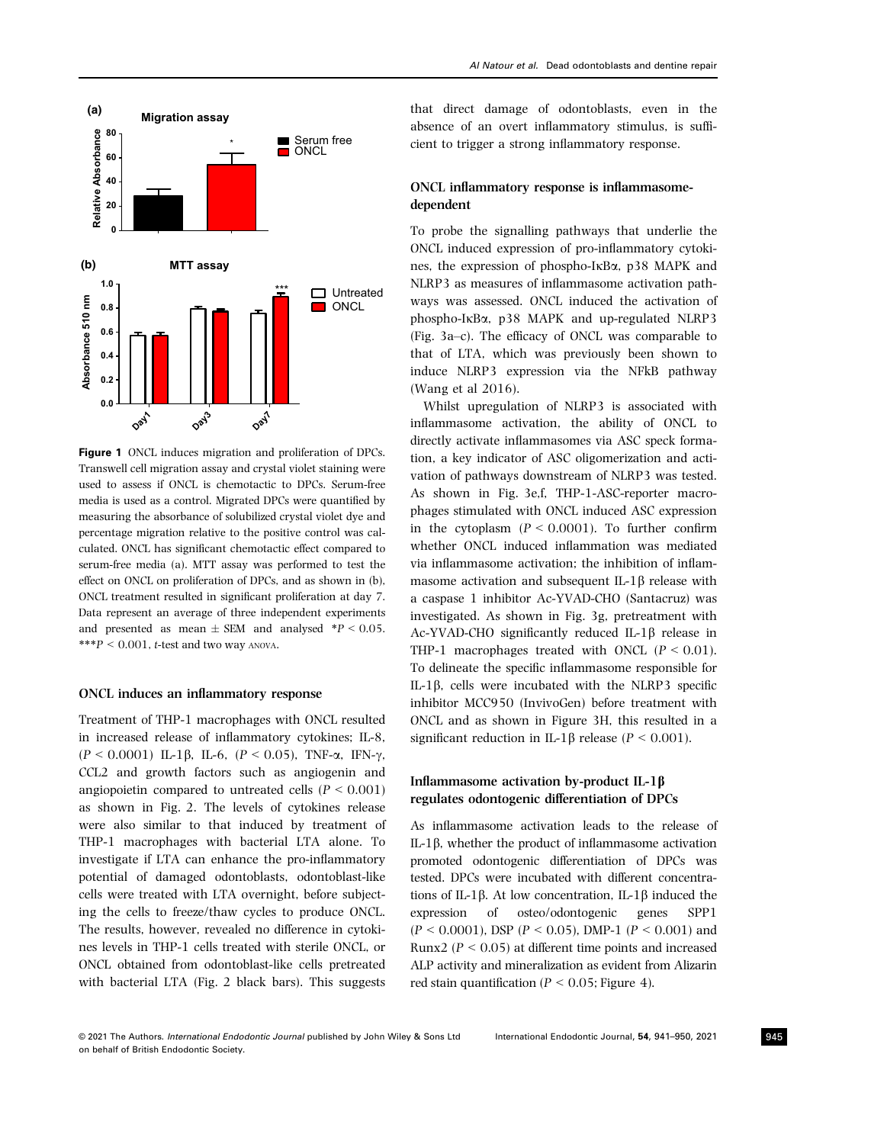

Figure 1 ONCL induces migration and proliferation of DPCs. Transwell cell migration assay and crystal violet staining were used to assess if ONCL is chemotactic to DPCs. Serum-free media is used as a control. Migrated DPCs were quantified by measuring the absorbance of solubilized crystal violet dye and percentage migration relative to the positive control was calculated. ONCL has significant chemotactic effect compared to serum-free media (a). MTT assay was performed to test the effect on ONCL on proliferation of DPCs, and as shown in (b), ONCL treatment resulted in significant proliferation at day 7. Data represent an average of three independent experiments and presented as mean  $\pm$  SEM and analysed \*P < 0.05. \*\*\* $P < 0.001$ , t-test and two way ANOVA.

#### ONCL induces an inflammatory response

Treatment of THP-1 macrophages with ONCL resulted in increased release of inflammatory cytokines; IL-8,  $(P < 0.0001)$  IL-1 $\beta$ , IL-6,  $(P < 0.05)$ , TNF- $\alpha$ , IFN- $\gamma$ , CCL2 and growth factors such as angiogenin and angiopoietin compared to untreated cells ( $P \leq 0.001$ ) as shown in Fig. 2. The levels of cytokines release were also similar to that induced by treatment of THP-1 macrophages with bacterial LTA alone. To investigate if LTA can enhance the pro-inflammatory potential of damaged odontoblasts, odontoblast-like cells were treated with LTA overnight, before subjecting the cells to freeze/thaw cycles to produce ONCL. The results, however, revealed no difference in cytokines levels in THP-1 cells treated with sterile ONCL, or ONCL obtained from odontoblast-like cells pretreated with bacterial LTA (Fig. 2 black bars). This suggests that direct damage of odontoblasts, even in the absence of an overt inflammatory stimulus, is sufficient to trigger a strong inflammatory response.

## ONCL inflammatory response is inflammasomedependent

To probe the signalling pathways that underlie the ONCL induced expression of pro-inflammatory cytokines, the expression of phospho- $I$ <sub>K</sub>B $\alpha$ , p38 MAPK and NLRP3 as measures of inflammasome activation pathways was assessed. ONCL induced the activation of phospho-IkBa, p38 MAPK and up-regulated NLRP3 (Fig. 3a–c). The efficacy of ONCL was comparable to that of LTA, which was previously been shown to induce NLRP3 expression via the NFkB pathway (Wang et al 2016).

Whilst upregulation of NLRP3 is associated with inflammasome activation, the ability of ONCL to directly activate inflammasomes via ASC speck formation, a key indicator of ASC oligomerization and activation of pathways downstream of NLRP3 was tested. As shown in Fig. 3e,f, THP-1-ASC-reporter macrophages stimulated with ONCL induced ASC expression in the cytoplasm  $(P < 0.0001)$ . To further confirm whether ONCL induced inflammation was mediated via inflammasome activation; the inhibition of inflammasome activation and subsequent IL-1 $\beta$  release with a caspase 1 inhibitor Ac-YVAD-CHO (Santacruz) was investigated. As shown in Fig. 3g, pretreatment with Ac-YVAD-CHO significantly reduced IL-1 $\beta$  release in THP-1 macrophages treated with ONCL  $(P < 0.01)$ . To delineate the specific inflammasome responsible for IL-1 $\beta$ , cells were incubated with the NLRP3 specific inhibitor MCC950 (InvivoGen) before treatment with ONCL and as shown in Figure 3H, this resulted in a significant reduction in IL-1 $\beta$  release (P < 0.001).

## Inflammasome activation by-product IL-1b regulates odontogenic differentiation of DPCs

As inflammasome activation leads to the release of IL-1b, whether the product of inflammasome activation promoted odontogenic differentiation of DPCs was tested. DPCs were incubated with different concentrations of IL-1 $\beta$ . At low concentration, IL-1 $\beta$  induced the expression of osteo/odontogenic genes SPP1 osteo/odontogenic  $(P < 0.0001)$ , DSP  $(P < 0.05)$ , DMP-1  $(P < 0.001)$  and Runx2 ( $P < 0.05$ ) at different time points and increased ALP activity and mineralization as evident from Alizarin red stain quantification ( $P < 0.05$ ; Figure 4).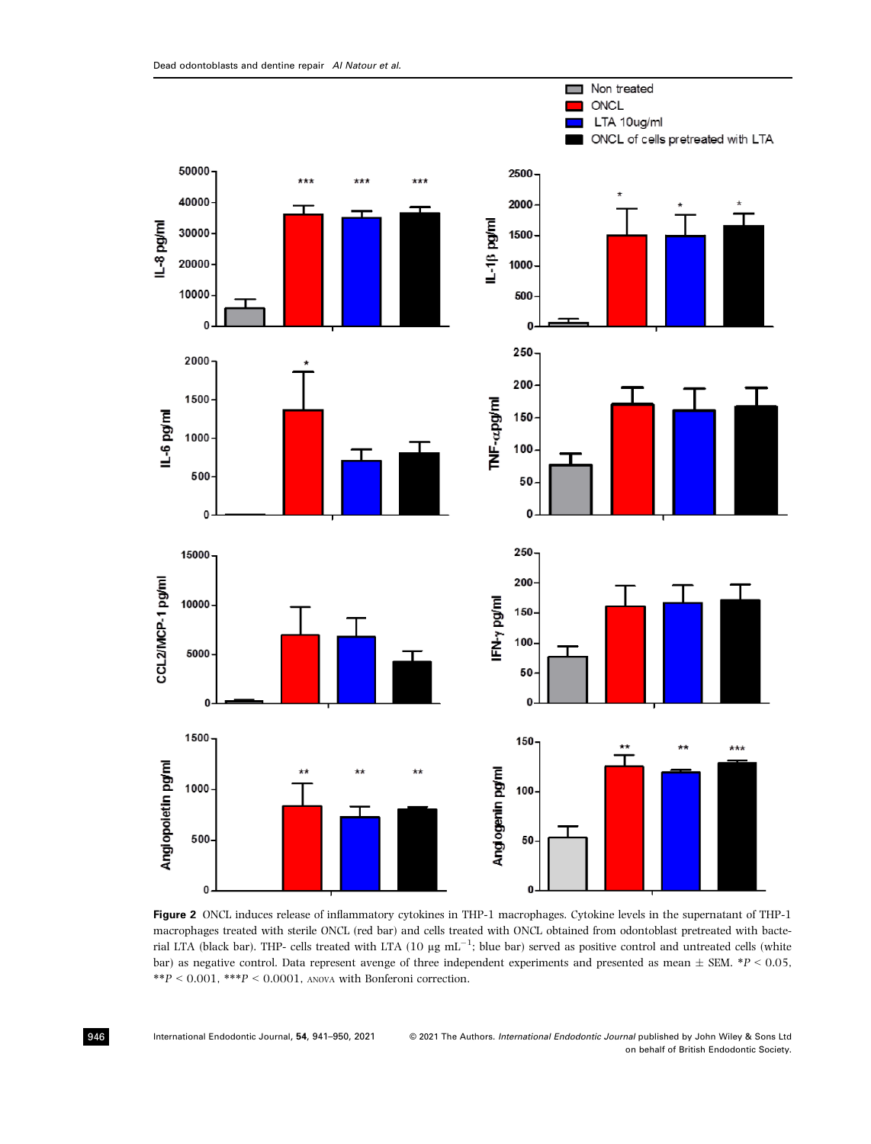

Figure 2 ONCL induces release of inflammatory cytokines in THP-1 macrophages. Cytokine levels in the supernatant of THP-1 macrophages treated with sterile ONCL (red bar) and cells treated with ONCL obtained from odontoblast pretreated with bacterial LTA (black bar). THP- cells treated with LTA (10  $\mu$ g mL<sup>-1</sup>; blue bar) served as positive control and untreated cells (white bar) as negative control. Data represent avenge of three independent experiments and presented as mean  $\pm$  SEM. \*P < 0.05,  $^{**}P < 0.001,$   $^{***}P < 0.0001,$  a<br>nova with Bonferoni correction.

946 International Endodontic Journal, 54, 941–950, 2021

© 2021 The Authors. International Endodontic Journal published by John Wiley & Sons Ltd on behalf of British Endodontic Society.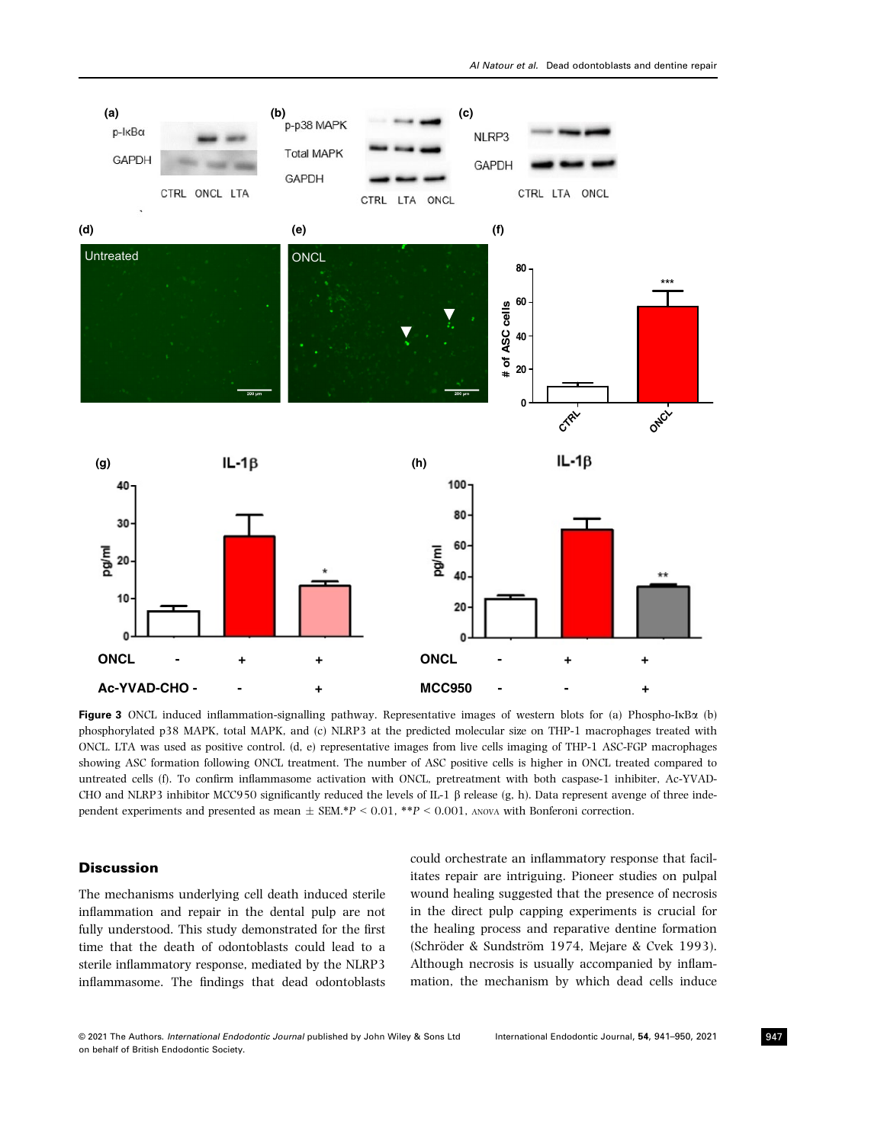

Figure 3 ONCL induced inflammation-signalling pathway. Representative images of western blots for (a) Phospho-I $\kappa$ B $\alpha$  (b) phosphorylated p38 MAPK, total MAPK, and (c) NLRP3 at the predicted molecular size on THP-1 macrophages treated with ONCL. LTA was used as positive control. (d, e) representative images from live cells imaging of THP-1 ASC-FGP macrophages showing ASC formation following ONCL treatment. The number of ASC positive cells is higher in ONCL treated compared to untreated cells (f). To confirm inflammasome activation with ONCL, pretreatment with both caspase-1 inhibiter, Ac-YVAD-CHO and NLRP3 inhibitor MCC950 significantly reduced the levels of IL-1  $\beta$  release (g, h). Data represent avenge of three independent experiments and presented as mean  $\pm$  SEM.\*P < 0.01, \*\*P < 0.001, ANOVA with Bonferoni correction.

## **Discussion**

The mechanisms underlying cell death induced sterile inflammation and repair in the dental pulp are not fully understood. This study demonstrated for the first time that the death of odontoblasts could lead to a sterile inflammatory response, mediated by the NLRP3 inflammasome. The findings that dead odontoblasts could orchestrate an inflammatory response that facilitates repair are intriguing. Pioneer studies on pulpal wound healing suggested that the presence of necrosis in the direct pulp capping experiments is crucial for the healing process and reparative dentine formation (Schröder & Sundström 1974, Mejare & Cvek 1993). Although necrosis is usually accompanied by inflammation, the mechanism by which dead cells induce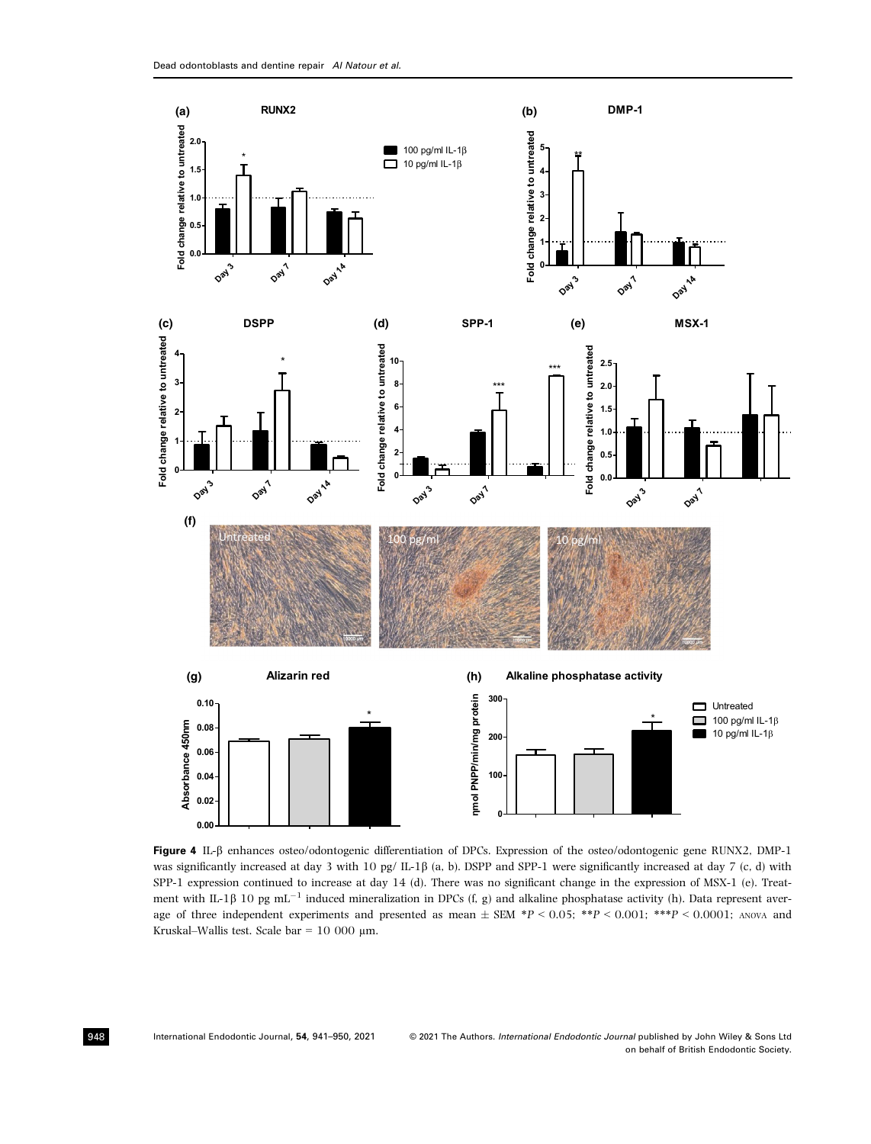

Figure 4 IL-b enhances osteo/odontogenic differentiation of DPCs. Expression of the osteo/odontogenic gene RUNX2, DMP-1 was significantly increased at day 3 with 10 pg/ IL-1 $\beta$  (a, b). DSPP and SPP-1 were significantly increased at day 7 (c, d) with SPP-1 expression continued to increase at day 14 (d). There was no significant change in the expression of MSX-1 (e). Treatment with IL-1 $\beta$  10 pg mL<sup>-1</sup> induced mineralization in DPCs (f, g) and alkaline phosphatase activity (h). Data represent average of three independent experiments and presented as mean  $\pm$  SEM \*P < 0.05; \*\*P < 0.001; \*\*\*P < 0.0001; ANOVA and Kruskal–Wallis test. Scale bar =  $10000 \mu m$ .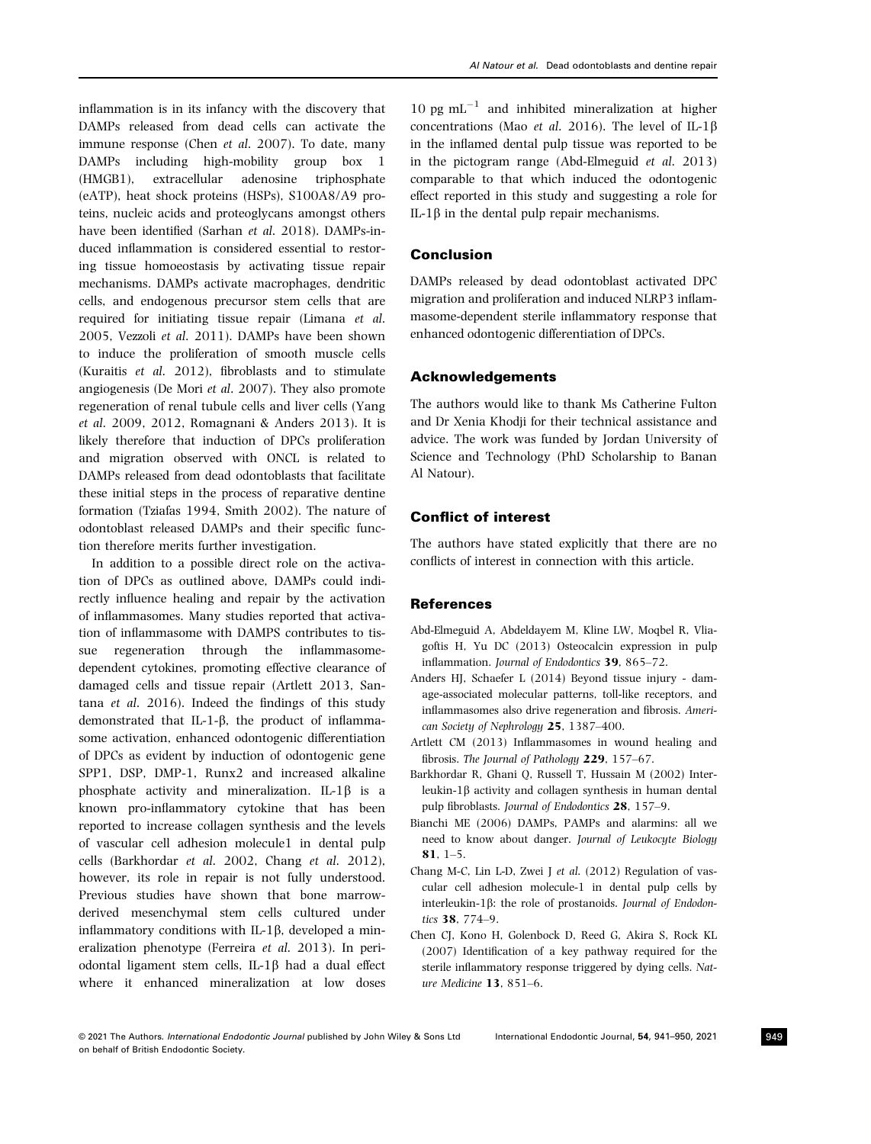inflammation is in its infancy with the discovery that DAMPs released from dead cells can activate the immune response (Chen et al. 2007). To date, many DAMPs including high-mobility group box 1 (HMGB1), extracellular adenosine triphosphate (eATP), heat shock proteins (HSPs), S100A8/A9 proteins, nucleic acids and proteoglycans amongst others have been identified (Sarhan et al. 2018). DAMPs-induced inflammation is considered essential to restoring tissue homoeostasis by activating tissue repair mechanisms. DAMPs activate macrophages, dendritic cells, and endogenous precursor stem cells that are required for initiating tissue repair (Limana et al. 2005, Vezzoli et al. 2011). DAMPs have been shown to induce the proliferation of smooth muscle cells (Kuraitis et al. 2012), fibroblasts and to stimulate angiogenesis (De Mori et al. 2007). They also promote regeneration of renal tubule cells and liver cells (Yang et al. 2009, 2012, Romagnani & Anders 2013). It is likely therefore that induction of DPCs proliferation and migration observed with ONCL is related to DAMPs released from dead odontoblasts that facilitate these initial steps in the process of reparative dentine formation (Tziafas 1994, Smith 2002). The nature of odontoblast released DAMPs and their specific function therefore merits further investigation.

In addition to a possible direct role on the activation of DPCs as outlined above, DAMPs could indirectly influence healing and repair by the activation of inflammasomes. Many studies reported that activation of inflammasome with DAMPS contributes to tissue regeneration through the inflammasomedependent cytokines, promoting effective clearance of damaged cells and tissue repair (Artlett 2013, Santana et al. 2016). Indeed the findings of this study demonstrated that IL-1- $\beta$ , the product of inflammasome activation, enhanced odontogenic differentiation of DPCs as evident by induction of odontogenic gene SPP1, DSP, DMP-1, Runx2 and increased alkaline phosphate activity and mineralization. IL-1 $\beta$  is a known pro-inflammatory cytokine that has been reported to increase collagen synthesis and the levels of vascular cell adhesion molecule1 in dental pulp cells (Barkhordar et al. 2002, Chang et al. 2012), however, its role in repair is not fully understood. Previous studies have shown that bone marrowderived mesenchymal stem cells cultured under inflammatory conditions with IL-1 $\beta$ , developed a mineralization phenotype (Ferreira et al. 2013). In periodontal ligament stem cells, IL-1 $\beta$  had a dual effect where it enhanced mineralization at low doses 10 pg  $mL^{-1}$  and inhibited mineralization at higher concentrations (Mao et al. 2016). The level of  $IL-1\beta$ in the inflamed dental pulp tissue was reported to be in the pictogram range (Abd-Elmeguid et al. 2013) comparable to that which induced the odontogenic effect reported in this study and suggesting a role for IL-1 $\beta$  in the dental pulp repair mechanisms.

## Conclusion

DAMPs released by dead odontoblast activated DPC migration and proliferation and induced NLRP3 inflammasome-dependent sterile inflammatory response that enhanced odontogenic differentiation of DPCs.

#### Acknowledgements

The authors would like to thank Ms Catherine Fulton and Dr Xenia Khodji for their technical assistance and advice. The work was funded by Jordan University of Science and Technology (PhD Scholarship to Banan Al Natour).

#### Conflict of interest

The authors have stated explicitly that there are no conflicts of interest in connection with this article.

#### References

- Abd-Elmeguid A, Abdeldayem M, Kline LW, Moqbel R, Vliagoftis H, Yu DC (2013) Osteocalcin expression in pulp inflammation. Journal of Endodontics 39, 865–72.
- Anders HJ, Schaefer L (2014) Beyond tissue injury damage-associated molecular patterns, toll-like receptors, and inflammasomes also drive regeneration and fibrosis. American Society of Nephrology 25, 1387–400.
- Artlett CM (2013) Inflammasomes in wound healing and fibrosis. The Journal of Pathology 229, 157–67.
- Barkhordar R, Ghani Q, Russell T, Hussain M (2002) Interleukin-1 $\beta$  activity and collagen synthesis in human dental pulp fibroblasts. Journal of Endodontics 28, 157–9.
- Bianchi ME (2006) DAMPs, PAMPs and alarmins: all we need to know about danger. Journal of Leukocyte Biology 81, 1–5.
- Chang M-C, Lin L-D, Zwei J et al. (2012) Regulation of vascular cell adhesion molecule-1 in dental pulp cells by interleukin-1 $\beta$ : the role of prostanoids. Journal of Endodontics 38, 774–9.
- Chen CJ, Kono H, Golenbock D, Reed G, Akira S, Rock KL (2007) Identification of a key pathway required for the sterile inflammatory response triggered by dying cells. Nature Medicine 13, 851–6.

<sup>©</sup> 2021 The Authors. International Endodontic Journal published by John Wiley & Sons Ltd International Endodontic Journal, 54, 941–950, 2021 on behalf of British Endodontic Society.